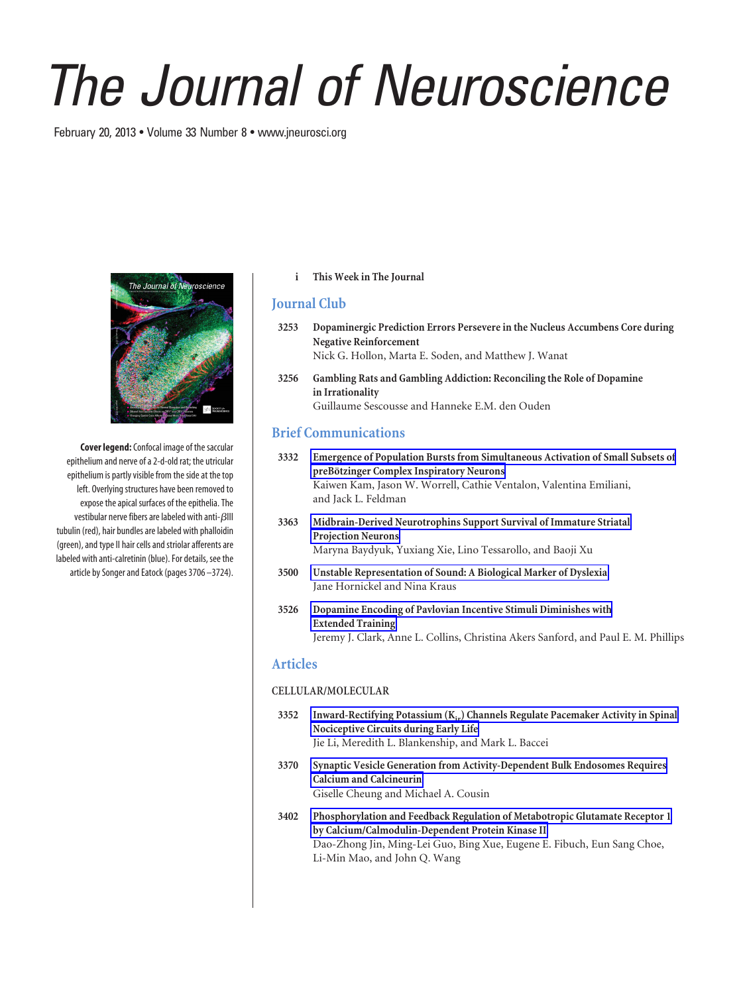# *The Journal of Neuroscience*

February 20, 2013 • Volume 33 Number 8 • www.jneurosci.org



**Cover legend:**Confocal image of the saccular epithelium and nerve of a 2-d-old rat; the utricular epithelium is partly visible from the side at the top left. Overlying structures have been removed to expose the apical surfaces of the epithelia. The vestibular nerve fibers are labeled with anti- $\beta$ III tubulin (red), hair bundles are labeled with phalloidin (green), and type II hair cells and striolar afferents are labeled with anti-calretinin (blue). For details, see the article by Songer and Eatock (pages 3706 –3724).

**i This Week in The Journal**

## **Journal Club**

- **3253 Dopaminergic Prediction Errors Persevere in the Nucleus Accumbens Core during Negative Reinforcement** Nick G. Hollon, Marta E. Soden, and Matthew J. Wanat
- **3256 Gambling Rats and Gambling Addiction: Reconciling the Role of Dopamine in Irrationality** Guillaume Sescousse and Hanneke E.M. den Ouden

# **Brief Communications**

- **3332 Emergence of Population Bursts from Simultaneous Activation of Small Subsets of preBo¨tzinger Complex Inspiratory Neurons** Kaiwen Kam, Jason W. Worrell, Cathie Ventalon, Valentina Emiliani, and Jack L. Feldman
- **3363 Midbrain-Derived Neurotrophins Support Survival of Immature Striatal Projection Neurons** Maryna Baydyuk, Yuxiang Xie, Lino Tessarollo, and Baoji Xu
- **3500 Unstable Representation of Sound: A Biological Marker of Dyslexia** Jane Hornickel and Nina Kraus
- **3526 Dopamine Encoding of Pavlovian Incentive Stimuli Diminishes with Extended Training** Jeremy J. Clark, Anne L. Collins, Christina Akers Sanford, and Paul E. M. Phillips

### **Articles**

#### **CELLULAR/MOLECULAR**

- **3352** Inward-Rectifying Potassium (K<sub>ir</sub>) Channels Regulate Pacemaker Activity in Spinal **Nociceptive Circuits during Early Life** Jie Li, Meredith L. Blankenship, and Mark L. Baccei
- **3370 Synaptic Vesicle Generation from Activity-Dependent Bulk Endosomes Requires Calcium and Calcineurin** Giselle Cheung and Michael A. Cousin
- **3402 Phosphorylation and Feedback Regulation of Metabotropic Glutamate Receptor 1 by Calcium/Calmodulin-Dependent Protein Kinase II** Dao-Zhong Jin, Ming-Lei Guo, Bing Xue, Eugene E. Fibuch, Eun Sang Choe, Li-Min Mao, and John Q. Wang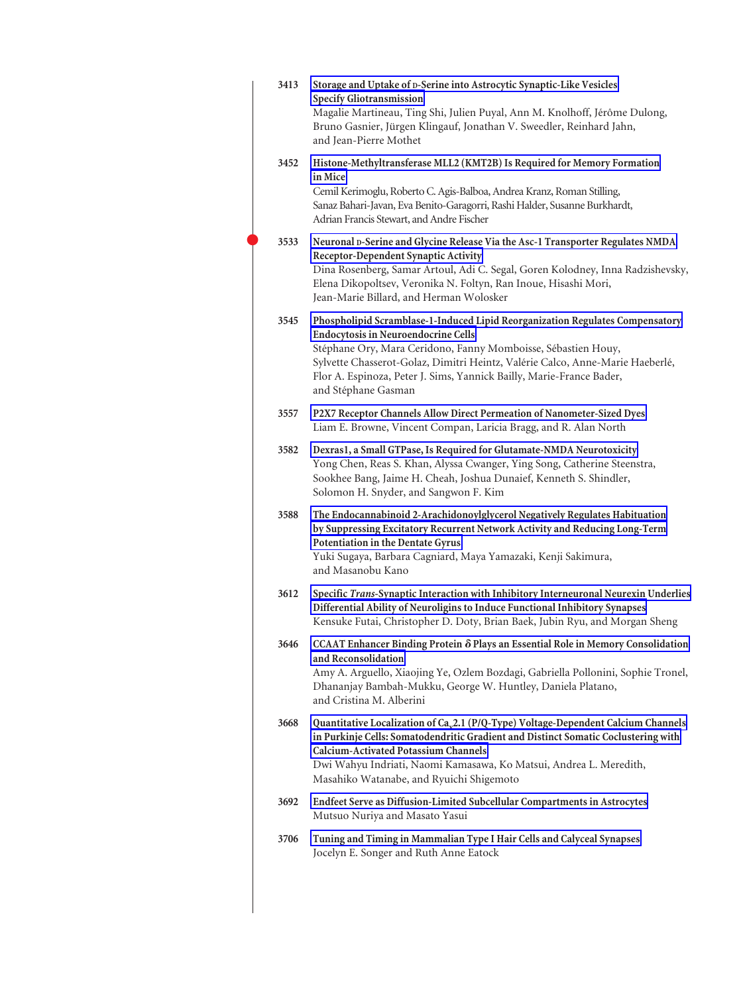| 3413 | Storage and Uptake of D-Serine into Astrocytic Synaptic-Like Vesicles<br><b>Specify Gliotransmission</b><br>Magalie Martineau, Ting Shi, Julien Puyal, Ann M. Knolhoff, Jérôme Dulong,<br>Bruno Gasnier, Jürgen Klingauf, Jonathan V. Sweedler, Reinhard Jahn,<br>and Jean-Pierre Mothet                                                                              |
|------|-----------------------------------------------------------------------------------------------------------------------------------------------------------------------------------------------------------------------------------------------------------------------------------------------------------------------------------------------------------------------|
| 3452 | Histone-Methyltransferase MLL2 (KMT2B) Is Required for Memory Formation<br>in Mice<br>Cemil Kerimoglu, Roberto C. Agis-Balboa, Andrea Kranz, Roman Stilling,<br>Sanaz Bahari-Javan, Eva Benito-Garagorri, Rashi Halder, Susanne Burkhardt,<br>Adrian Francis Stewart, and Andre Fischer                                                                               |
| 3533 | Neuronal D-Serine and Glycine Release Via the Asc-1 Transporter Regulates NMDA<br>Receptor-Dependent Synaptic Activity<br>Dina Rosenberg, Samar Artoul, Adi C. Segal, Goren Kolodney, Inna Radzishevsky,<br>Elena Dikopoltsev, Veronika N. Foltyn, Ran Inoue, Hisashi Mori,<br>Jean-Marie Billard, and Herman Wolosker                                                |
| 3545 | Phospholipid Scramblase-1-Induced Lipid Reorganization Regulates Compensatory<br>Endocytosis in Neuroendocrine Cells<br>Stéphane Ory, Mara Ceridono, Fanny Momboisse, Sébastien Houy,<br>Sylvette Chasserot-Golaz, Dimitri Heintz, Valérie Calco, Anne-Marie Haeberlé,<br>Flor A. Espinoza, Peter J. Sims, Yannick Bailly, Marie-France Bader,<br>and Stéphane Gasman |
| 3557 | P2X7 Receptor Channels Allow Direct Permeation of Nanometer-Sized Dyes<br>Liam E. Browne, Vincent Compan, Laricia Bragg, and R. Alan North                                                                                                                                                                                                                            |
| 3582 | Dexras1, a Small GTPase, Is Required for Glutamate-NMDA Neurotoxicity<br>Yong Chen, Reas S. Khan, Alyssa Cwanger, Ying Song, Catherine Steenstra,<br>Sookhee Bang, Jaime H. Cheah, Joshua Dunaief, Kenneth S. Shindler,<br>Solomon H. Snyder, and Sangwon F. Kim                                                                                                      |
| 3588 | The Endocannabinoid 2-Arachidonoylglycerol Negatively Regulates Habituation<br>by Suppressing Excitatory Recurrent Network Activity and Reducing Long-Term<br>Potentiation in the Dentate Gyrus<br>Yuki Sugaya, Barbara Cagniard, Maya Yamazaki, Kenji Sakimura,<br>and Masanobu Kano                                                                                 |
| 3612 | Specific Trans-Synaptic Interaction with Inhibitory Interneuronal Neurexin Underlies<br>Differential Ability of Neuroligins to Induce Functional Inhibitory Synapses<br>Kensuke Futai, Christopher D. Doty, Brian Baek, Jubin Ryu, and Morgan Sheng                                                                                                                   |
| 3646 | CCAAT Enhancer Binding Protein δ Plays an Essential Role in Memory Consolidation<br>and Reconsolidation<br>Amy A. Arguello, Xiaojing Ye, Ozlem Bozdagi, Gabriella Pollonini, Sophie Tronel,<br>Dhananjay Bambah-Mukku, George W. Huntley, Daniela Platano,<br>and Cristina M. Alberini                                                                                |
| 3668 | Quantitative Localization of Ca <sub>v</sub> 2.1 (P/Q-Type) Voltage-Dependent Calcium Channels<br>in Purkinje Cells: Somatodendritic Gradient and Distinct Somatic Coclustering with<br><b>Calcium-Activated Potassium Channels</b><br>Dwi Wahyu Indriati, Naomi Kamasawa, Ko Matsui, Andrea L. Meredith,<br>Masahiko Watanabe, and Ryuichi Shigemoto                 |
| 3692 | Endfeet Serve as Diffusion-Limited Subcellular Compartments in Astrocytes<br>Mutsuo Nuriya and Masato Yasui                                                                                                                                                                                                                                                           |
| 3706 | Tuning and Timing in Mammalian Type I Hair Cells and Calyceal Synapses<br>Jocelyn E. Songer and Ruth Anne Eatock                                                                                                                                                                                                                                                      |
|      |                                                                                                                                                                                                                                                                                                                                                                       |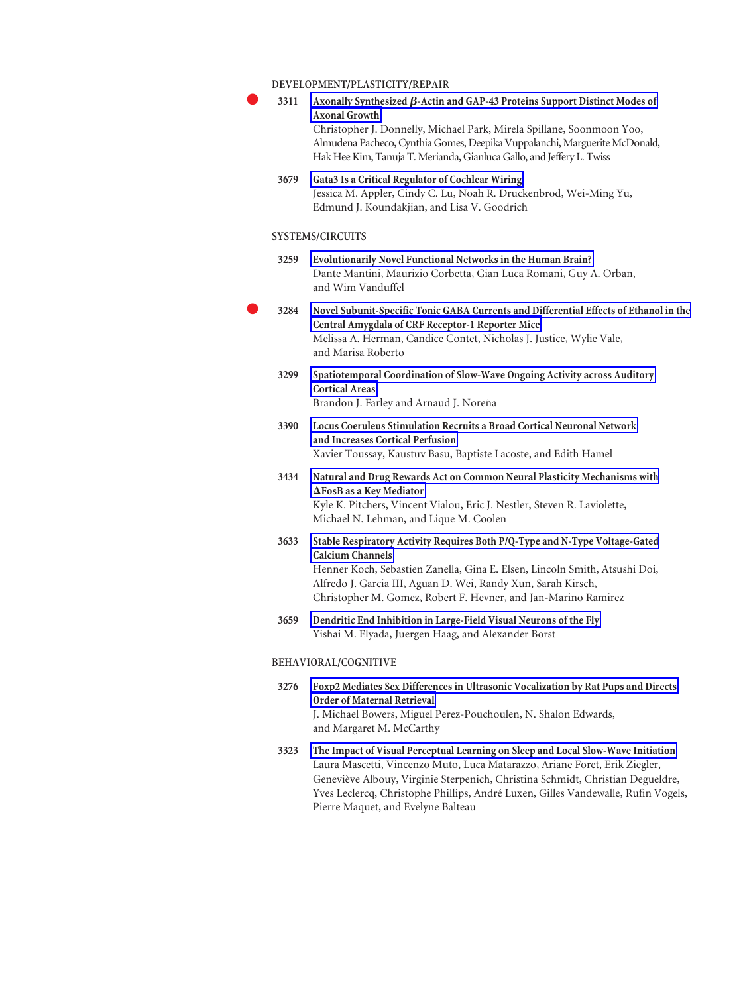| DEVELOPMENT/PLASTICITY/REPAIR |                                                                                                                                                                                                                                                                                                                                                                             |  |
|-------------------------------|-----------------------------------------------------------------------------------------------------------------------------------------------------------------------------------------------------------------------------------------------------------------------------------------------------------------------------------------------------------------------------|--|
| 3311                          | Axonally Synthesized $\beta$ -Actin and GAP-43 Proteins Support Distinct Modes of<br><b>Axonal Growth</b><br>Christopher J. Donnelly, Michael Park, Mirela Spillane, Soonmoon Yoo,<br>Almudena Pacheco, Cynthia Gomes, Deepika Vuppalanchi, Marguerite McDonald,<br>Hak Hee Kim, Tanuja T. Merianda, Gianluca Gallo, and Jeffery L. Twiss                                   |  |
| 3679                          | Gata3 Is a Critical Regulator of Cochlear Wiring<br>Jessica M. Appler, Cindy C. Lu, Noah R. Druckenbrod, Wei-Ming Yu,<br>Edmund J. Koundakjian, and Lisa V. Goodrich                                                                                                                                                                                                        |  |
|                               | <b>SYSTEMS/CIRCUITS</b>                                                                                                                                                                                                                                                                                                                                                     |  |
| 3259                          | Evolutionarily Novel Functional Networks in the Human Brain?<br>Dante Mantini, Maurizio Corbetta, Gian Luca Romani, Guy A. Orban,<br>and Wim Vanduffel                                                                                                                                                                                                                      |  |
| 3284                          | Novel Subunit-Specific Tonic GABA Currents and Differential Effects of Ethanol in the<br>Central Amygdala of CRF Receptor-1 Reporter Mice<br>Melissa A. Herman, Candice Contet, Nicholas J. Justice, Wylie Vale,<br>and Marisa Roberto                                                                                                                                      |  |
| 3299                          | Spatiotemporal Coordination of Slow-Wave Ongoing Activity across Auditory<br><b>Cortical Areas</b><br>Brandon J. Farley and Arnaud J. Noreña                                                                                                                                                                                                                                |  |
| 3390                          | Locus Coeruleus Stimulation Recruits a Broad Cortical Neuronal Network<br>and Increases Cortical Perfusion<br>Xavier Toussay, Kaustuv Basu, Baptiste Lacoste, and Edith Hamel                                                                                                                                                                                               |  |
| 3434                          | Natural and Drug Rewards Act on Common Neural Plasticity Mechanisms with<br>$\Delta$ FosB as a Key Mediator<br>Kyle K. Pitchers, Vincent Vialou, Eric J. Nestler, Steven R. Laviolette,<br>Michael N. Lehman, and Lique M. Coolen                                                                                                                                           |  |
| 3633                          | Stable Respiratory Activity Requires Both P/Q-Type and N-Type Voltage-Gated<br><b>Calcium Channels</b><br>Henner Koch, Sebastien Zanella, Gina E. Elsen, Lincoln Smith, Atsushi Doi,<br>Alfredo J. Garcia III, Aguan D. Wei, Randy Xun, Sarah Kirsch,<br>Christopher M. Gomez, Robert F. Hevner, and Jan-Marino Ramirez                                                     |  |
| 3659                          | Dendritic End Inhibition in Large-Field Visual Neurons of the Fly<br>Yishai M. Elyada, Juergen Haag, and Alexander Borst                                                                                                                                                                                                                                                    |  |
|                               | BEHAVIORAL/COGNITIVE                                                                                                                                                                                                                                                                                                                                                        |  |
| 3276                          | Foxp2 Mediates Sex Differences in Ultrasonic Vocalization by Rat Pups and Directs<br><b>Order of Maternal Retrieval</b><br>J. Michael Bowers, Miguel Perez-Pouchoulen, N. Shalon Edwards,<br>and Margaret M. McCarthy                                                                                                                                                       |  |
| 3323                          | The Impact of Visual Perceptual Learning on Sleep and Local Slow-Wave Initiation<br>Laura Mascetti, Vincenzo Muto, Luca Matarazzo, Ariane Foret, Erik Ziegler,<br>Geneviève Albouy, Virginie Sterpenich, Christina Schmidt, Christian Degueldre,<br>Yves Leclercq, Christophe Phillips, André Luxen, Gilles Vandewalle, Rufin Vogels,<br>Pierre Maquet, and Evelyne Balteau |  |
|                               |                                                                                                                                                                                                                                                                                                                                                                             |  |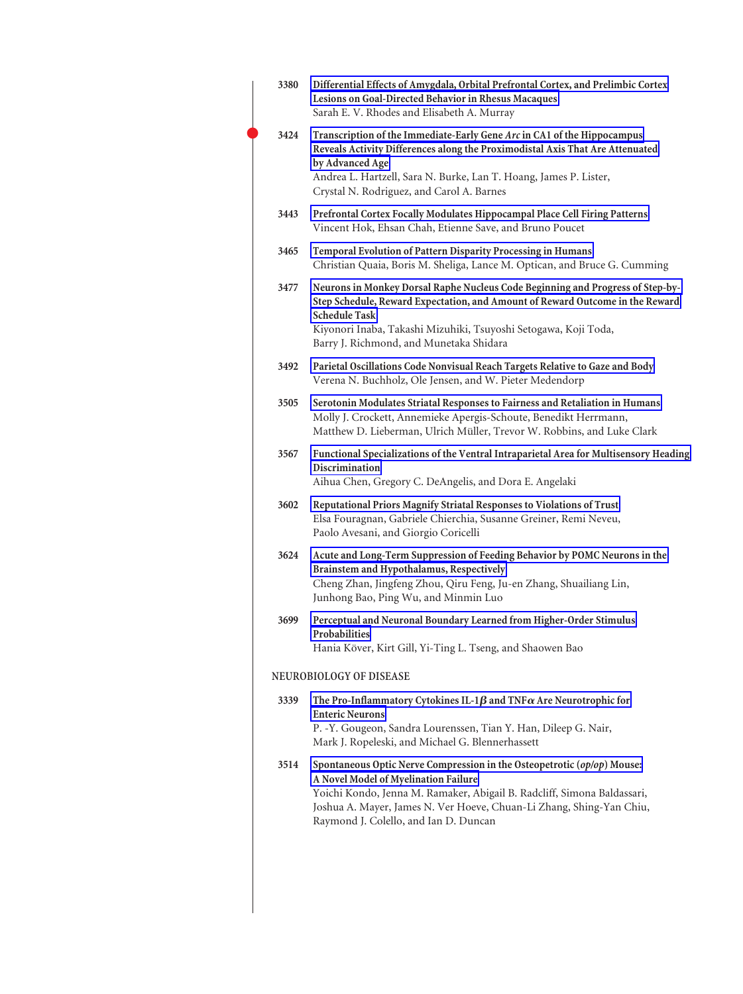| 3380 | Differential Effects of Amygdala, Orbital Prefrontal Cortex, and Prelimbic Cortex<br>Lesions on Goal-Directed Behavior in Rhesus Macaques<br>Sarah E. V. Rhodes and Elisabeth A. Murray                                                                                                                     |
|------|-------------------------------------------------------------------------------------------------------------------------------------------------------------------------------------------------------------------------------------------------------------------------------------------------------------|
| 3424 | Transcription of the Immediate-Early Gene Arc in CA1 of the Hippocampus<br>Reveals Activity Differences along the Proximodistal Axis That Are Attenuated<br>by Advanced Age<br>Andrea L. Hartzell, Sara N. Burke, Lan T. Hoang, James P. Lister,<br>Crystal N. Rodriguez, and Carol A. Barnes               |
| 3443 | Prefrontal Cortex Focally Modulates Hippocampal Place Cell Firing Patterns<br>Vincent Hok, Ehsan Chah, Etienne Save, and Bruno Poucet                                                                                                                                                                       |
| 3465 | Temporal Evolution of Pattern Disparity Processing in Humans<br>Christian Quaia, Boris M. Sheliga, Lance M. Optican, and Bruce G. Cumming                                                                                                                                                                   |
| 3477 | Neurons in Monkey Dorsal Raphe Nucleus Code Beginning and Progress of Step-by-<br>Step Schedule, Reward Expectation, and Amount of Reward Outcome in the Reward<br><b>Schedule Task</b><br>Kiyonori Inaba, Takashi Mizuhiki, Tsuyoshi Setogawa, Koji Toda,<br>Barry J. Richmond, and Munetaka Shidara       |
| 3492 | Parietal Oscillations Code Nonvisual Reach Targets Relative to Gaze and Body<br>Verena N. Buchholz, Ole Jensen, and W. Pieter Medendorp                                                                                                                                                                     |
| 3505 | Serotonin Modulates Striatal Responses to Fairness and Retaliation in Humans<br>Molly J. Crockett, Annemieke Apergis-Schoute, Benedikt Herrmann,<br>Matthew D. Lieberman, Ulrich Müller, Trevor W. Robbins, and Luke Clark                                                                                  |
| 3567 | Functional Specializations of the Ventral Intraparietal Area for Multisensory Heading<br><b>Discrimination</b><br>Aihua Chen, Gregory C. DeAngelis, and Dora E. Angelaki                                                                                                                                    |
| 3602 | Reputational Priors Magnify Striatal Responses to Violations of Trust<br>Elsa Fouragnan, Gabriele Chierchia, Susanne Greiner, Remi Neveu,<br>Paolo Avesani, and Giorgio Coricelli                                                                                                                           |
| 3624 | Acute and Long-Term Suppression of Feeding Behavior by POMC Neurons in the<br>Brainstem and Hypothalamus, Respectively<br>Cheng Zhan, Jingfeng Zhou, Qiru Feng, Ju-en Zhang, Shuailiang Lin,<br>Junhong Bao, Ping Wu, and Minmin Luo                                                                        |
| 3699 | Perceptual and Neuronal Boundary Learned from Higher-Order Stimulus<br>Probabilities<br>Hania Köver, Kirt Gill, Yi-Ting L. Tseng, and Shaowen Bao                                                                                                                                                           |
|      | NEUROBIOLOGY OF DISEASE                                                                                                                                                                                                                                                                                     |
| 3339 | The Pro-Inflammatory Cytokines IL-1 $\beta$ and TNF $\alpha$ Are Neurotrophic for<br><b>Enteric Neurons</b><br>P. -Y. Gougeon, Sandra Lourenssen, Tian Y. Han, Dileep G. Nair,<br>Mark J. Ropeleski, and Michael G. Blennerhassett                                                                          |
| 3514 | Spontaneous Optic Nerve Compression in the Osteopetrotic (op/op) Mouse:<br>A Novel Model of Myelination Failure<br>Yoichi Kondo, Jenna M. Ramaker, Abigail B. Radcliff, Simona Baldassari,<br>Joshua A. Mayer, James N. Ver Hoeve, Chuan-Li Zhang, Shing-Yan Chiu,<br>Raymond J. Colello, and Ian D. Duncan |
|      |                                                                                                                                                                                                                                                                                                             |